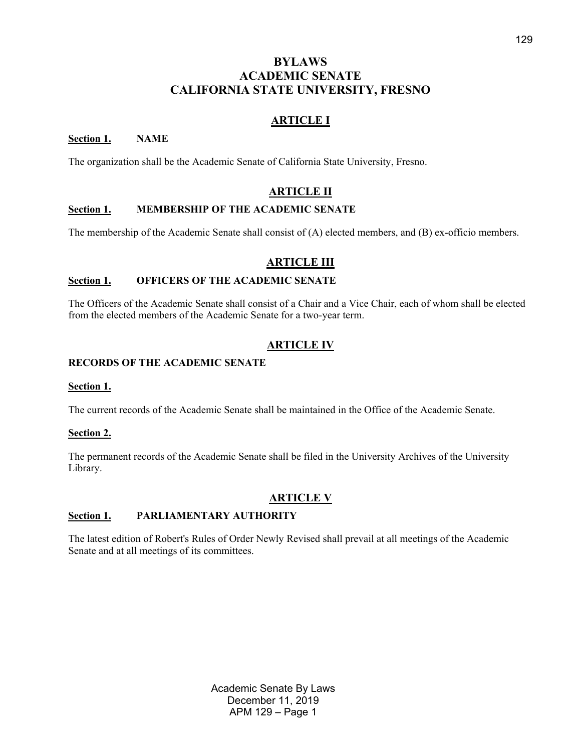# **BYLAWS ACADEMIC SENATE CALIFORNIA STATE UNIVERSITY, FRESNO**

# **ARTICLE I**

### **Section 1. NAME**

The organization shall be the Academic Senate of California State University, Fresno.

# **ARTICLE II**

### **Section 1. MEMBERSHIP OF THE ACADEMIC SENATE**

The membership of the Academic Senate shall consist of (A) elected members, and (B) ex-officio members.

### **ARTICLE III**

#### **Section 1. OFFICERS OF THE ACADEMIC SENATE**

The Officers of the Academic Senate shall consist of a Chair and a Vice Chair, each of whom shall be elected from the elected members of the Academic Senate for a two-year term.

# **ARTICLE IV**

# **RECORDS OF THE ACADEMIC SENATE**

#### **Section 1.**

The current records of the Academic Senate shall be maintained in the Office of the Academic Senate.

### **Section 2.**

The permanent records of the Academic Senate shall be filed in the University Archives of the University Library.

# **ARTICLE V**

#### **Section 1. PARLIAMENTARY AUTHORITY**

The latest edition of Robert's Rules of Order Newly Revised shall prevail at all meetings of the Academic Senate and at all meetings of its committees.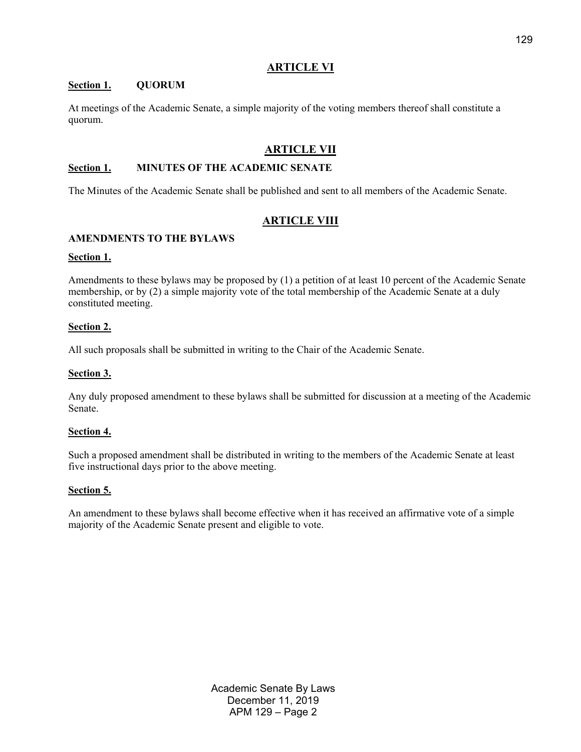# **ARTICLE VI**

### **Section 1. QUORUM**

At meetings of the Academic Senate, a simple majority of the voting members thereof shall constitute a quorum.

# **ARTICLE VII**

# **Section 1. MINUTES OF THE ACADEMIC SENATE**

The Minutes of the Academic Senate shall be published and sent to all members of the Academic Senate.

# **ARTICLE VIII**

# **AMENDMENTS TO THE BYLAWS**

### **Section 1.**

Amendments to these bylaws may be proposed by (1) a petition of at least 10 percent of the Academic Senate membership, or by (2) a simple majority vote of the total membership of the Academic Senate at a duly constituted meeting.

### **Section 2.**

All such proposals shall be submitted in writing to the Chair of the Academic Senate.

# **Section 3.**

Any duly proposed amendment to these bylaws shall be submitted for discussion at a meeting of the Academic Senate.

### **Section 4.**

Such a proposed amendment shall be distributed in writing to the members of the Academic Senate at least five instructional days prior to the above meeting.

### **Section 5.**

An amendment to these bylaws shall become effective when it has received an affirmative vote of a simple majority of the Academic Senate present and eligible to vote.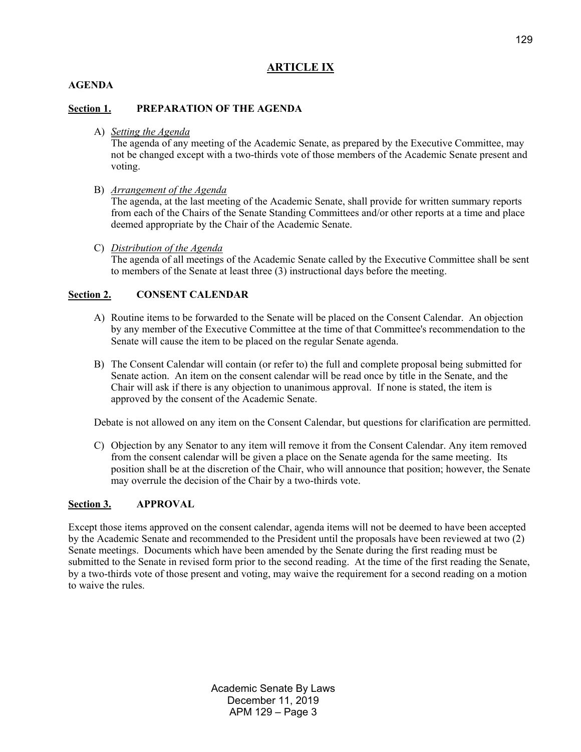# **ARTICLE IX**

### **AGENDA**

### **Section 1. PREPARATION OF THE AGENDA**

A) *Setting the Agenda*

 The agenda of any meeting of the Academic Senate, as prepared by the Executive Committee, may not be changed except with a two-thirds vote of those members of the Academic Senate present and voting.

B) *Arrangement of the Agenda*

The agenda, at the last meeting of the Academic Senate, shall provide for written summary reports from each of the Chairs of the Senate Standing Committees and/or other reports at a time and place deemed appropriate by the Chair of the Academic Senate.

C) *Distribution of the Agenda*

The agenda of all meetings of the Academic Senate called by the Executive Committee shall be sent to members of the Senate at least three (3) instructional days before the meeting.

# **Section 2. CONSENT CALENDAR**

- A) Routine items to be forwarded to the Senate will be placed on the Consent Calendar. An objection by any member of the Executive Committee at the time of that Committee's recommendation to the Senate will cause the item to be placed on the regular Senate agenda.
- B) The Consent Calendar will contain (or refer to) the full and complete proposal being submitted for Senate action. An item on the consent calendar will be read once by title in the Senate, and the Chair will ask if there is any objection to unanimous approval. If none is stated, the item is approved by the consent of the Academic Senate.

Debate is not allowed on any item on the Consent Calendar, but questions for clarification are permitted.

C) Objection by any Senator to any item will remove it from the Consent Calendar. Any item removed from the consent calendar will be given a place on the Senate agenda for the same meeting. Its position shall be at the discretion of the Chair, who will announce that position; however, the Senate may overrule the decision of the Chair by a two-thirds vote.

# **Section 3. APPROVAL**

Except those items approved on the consent calendar, agenda items will not be deemed to have been accepted by the Academic Senate and recommended to the President until the proposals have been reviewed at two (2) Senate meetings. Documents which have been amended by the Senate during the first reading must be submitted to the Senate in revised form prior to the second reading. At the time of the first reading the Senate, by a two-thirds vote of those present and voting, may waive the requirement for a second reading on a motion to waive the rules.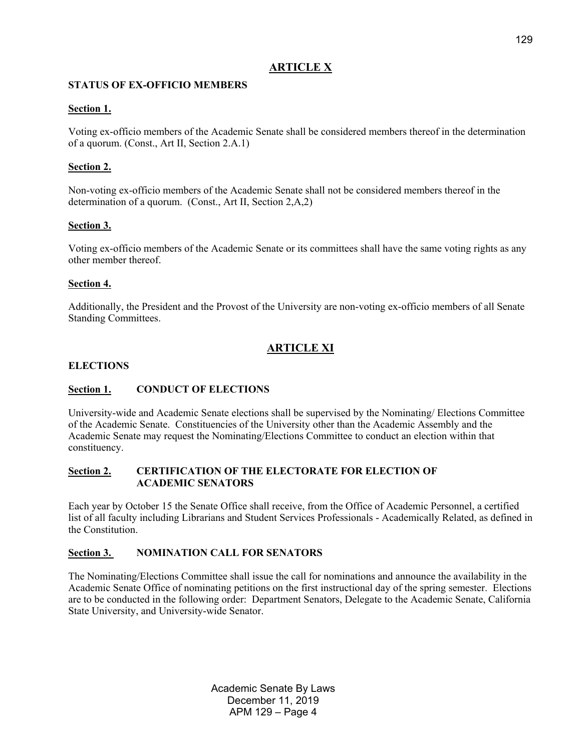# **ARTICLE X**

# **STATUS OF EX-OFFICIO MEMBERS**

### **Section 1.**

Voting ex-officio members of the Academic Senate shall be considered members thereof in the determination of a quorum. (Const., Art II, Section 2.A.1)

# **Section 2.**

Non-voting ex-officio members of the Academic Senate shall not be considered members thereof in the determination of a quorum. (Const., Art II, Section 2,A,2)

# **Section 3.**

Voting ex-officio members of the Academic Senate or its committees shall have the same voting rights as any other member thereof.

### **Section 4.**

Additionally, the President and the Provost of the University are non-voting ex-officio members of all Senate Standing Committees.

# **ARTICLE XI**

# **ELECTIONS**

# **Section 1. CONDUCT OF ELECTIONS**

University-wide and Academic Senate elections shall be supervised by the Nominating/ Elections Committee of the Academic Senate. Constituencies of the University other than the Academic Assembly and the Academic Senate may request the Nominating/Elections Committee to conduct an election within that constituency.

### **Section 2. CERTIFICATION OF THE ELECTORATE FOR ELECTION OF ACADEMIC SENATORS**

Each year by October 15 the Senate Office shall receive, from the Office of Academic Personnel, a certified list of all faculty including Librarians and Student Services Professionals - Academically Related, as defined in the Constitution.

# **Section 3. NOMINATION CALL FOR SENATORS**

The Nominating/Elections Committee shall issue the call for nominations and announce the availability in the Academic Senate Office of nominating petitions on the first instructional day of the spring semester. Elections are to be conducted in the following order: Department Senators, Delegate to the Academic Senate, California State University, and University-wide Senator.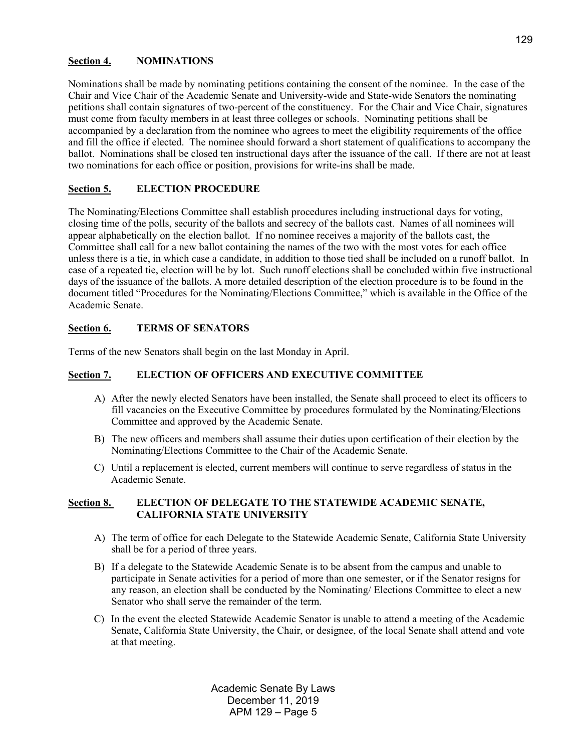### **Section 4. NOMINATIONS**

Nominations shall be made by nominating petitions containing the consent of the nominee. In the case of the Chair and Vice Chair of the Academic Senate and University-wide and State-wide Senators the nominating petitions shall contain signatures of two-percent of the constituency. For the Chair and Vice Chair, signatures must come from faculty members in at least three colleges or schools. Nominating petitions shall be accompanied by a declaration from the nominee who agrees to meet the eligibility requirements of the office and fill the office if elected. The nominee should forward a short statement of qualifications to accompany the ballot. Nominations shall be closed ten instructional days after the issuance of the call. If there are not at least two nominations for each office or position, provisions for write-ins shall be made.

# **Section 5. ELECTION PROCEDURE**

The Nominating/Elections Committee shall establish procedures including instructional days for voting, closing time of the polls, security of the ballots and secrecy of the ballots cast. Names of all nominees will appear alphabetically on the election ballot. If no nominee receives a majority of the ballots cast, the Committee shall call for a new ballot containing the names of the two with the most votes for each office unless there is a tie, in which case a candidate, in addition to those tied shall be included on a runoff ballot. In case of a repeated tie, election will be by lot. Such runoff elections shall be concluded within five instructional days of the issuance of the ballots. A more detailed description of the election procedure is to be found in the document titled "Procedures for the Nominating/Elections Committee," which is available in the Office of the Academic Senate.

# **Section 6. TERMS OF SENATORS**

Terms of the new Senators shall begin on the last Monday in April.

# **Section 7. ELECTION OF OFFICERS AND EXECUTIVE COMMITTEE**

- A) After the newly elected Senators have been installed, the Senate shall proceed to elect its officers to fill vacancies on the Executive Committee by procedures formulated by the Nominating/Elections Committee and approved by the Academic Senate.
- B) The new officers and members shall assume their duties upon certification of their election by the Nominating/Elections Committee to the Chair of the Academic Senate.
- C) Until a replacement is elected, current members will continue to serve regardless of status in the Academic Senate.

# **Section 8. ELECTION OF DELEGATE TO THE STATEWIDE ACADEMIC SENATE, CALIFORNIA STATE UNIVERSITY**

- A) The term of office for each Delegate to the Statewide Academic Senate, California State University shall be for a period of three years.
- B) If a delegate to the Statewide Academic Senate is to be absent from the campus and unable to participate in Senate activities for a period of more than one semester, or if the Senator resigns for any reason, an election shall be conducted by the Nominating/ Elections Committee to elect a new Senator who shall serve the remainder of the term.
- C) In the event the elected Statewide Academic Senator is unable to attend a meeting of the Academic Senate, California State University, the Chair, or designee, of the local Senate shall attend and vote at that meeting.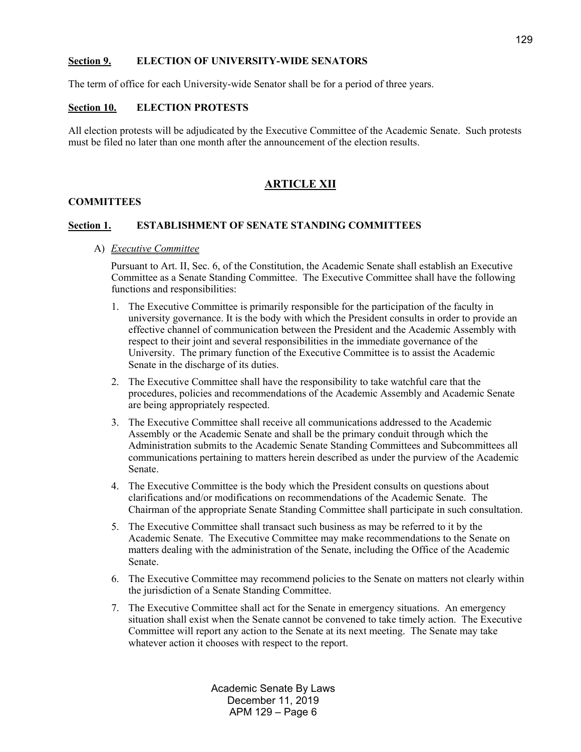### **Section 9. ELECTION OF UNIVERSITY-WIDE SENATORS**

The term of office for each University-wide Senator shall be for a period of three years.

### **Section 10. ELECTION PROTESTS**

All election protests will be adjudicated by the Executive Committee of the Academic Senate. Such protests must be filed no later than one month after the announcement of the election results.

# **ARTICLE XII**

### **COMMITTEES**

### **Section 1. ESTABLISHMENT OF SENATE STANDING COMMITTEES**

A) *Executive Committee*

Pursuant to Art. II, Sec. 6, of the Constitution, the Academic Senate shall establish an Executive Committee as a Senate Standing Committee. The Executive Committee shall have the following functions and responsibilities:

- 1. The Executive Committee is primarily responsible for the participation of the faculty in university governance. It is the body with which the President consults in order to provide an effective channel of communication between the President and the Academic Assembly with respect to their joint and several responsibilities in the immediate governance of the University. The primary function of the Executive Committee is to assist the Academic Senate in the discharge of its duties.
- 2. The Executive Committee shall have the responsibility to take watchful care that the procedures, policies and recommendations of the Academic Assembly and Academic Senate are being appropriately respected.
- 3. The Executive Committee shall receive all communications addressed to the Academic Assembly or the Academic Senate and shall be the primary conduit through which the Administration submits to the Academic Senate Standing Committees and Subcommittees all communications pertaining to matters herein described as under the purview of the Academic Senate.
- 4. The Executive Committee is the body which the President consults on questions about clarifications and/or modifications on recommendations of the Academic Senate. The Chairman of the appropriate Senate Standing Committee shall participate in such consultation.
- 5. The Executive Committee shall transact such business as may be referred to it by the Academic Senate. The Executive Committee may make recommendations to the Senate on matters dealing with the administration of the Senate, including the Office of the Academic Senate.
- 6. The Executive Committee may recommend policies to the Senate on matters not clearly within the jurisdiction of a Senate Standing Committee.
- 7. The Executive Committee shall act for the Senate in emergency situations. An emergency situation shall exist when the Senate cannot be convened to take timely action. The Executive Committee will report any action to the Senate at its next meeting. The Senate may take whatever action it chooses with respect to the report.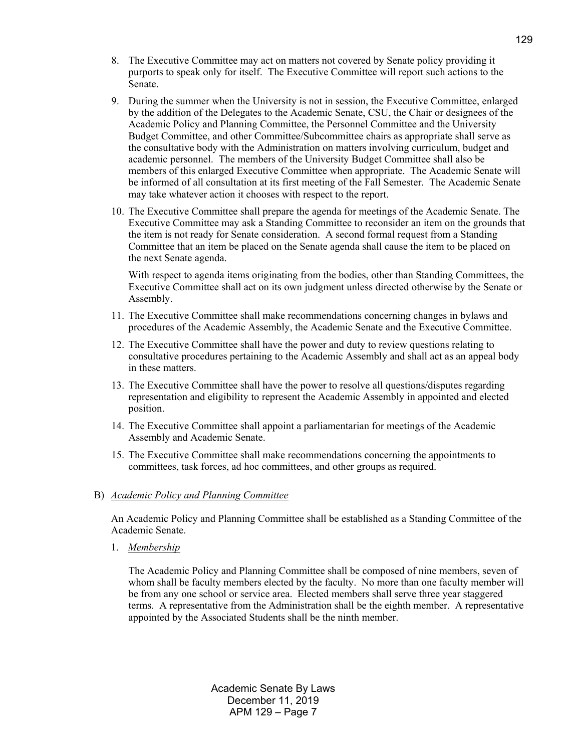- 8. The Executive Committee may act on matters not covered by Senate policy providing it purports to speak only for itself. The Executive Committee will report such actions to the Senate.
- 9. During the summer when the University is not in session, the Executive Committee, enlarged by the addition of the Delegates to the Academic Senate, CSU, the Chair or designees of the Academic Policy and Planning Committee, the Personnel Committee and the University Budget Committee, and other Committee/Subcommittee chairs as appropriate shall serve as the consultative body with the Administration on matters involving curriculum, budget and academic personnel. The members of the University Budget Committee shall also be members of this enlarged Executive Committee when appropriate. The Academic Senate will be informed of all consultation at its first meeting of the Fall Semester. The Academic Senate may take whatever action it chooses with respect to the report.
- 10. The Executive Committee shall prepare the agenda for meetings of the Academic Senate. The Executive Committee may ask a Standing Committee to reconsider an item on the grounds that the item is not ready for Senate consideration. A second formal request from a Standing Committee that an item be placed on the Senate agenda shall cause the item to be placed on the next Senate agenda.

With respect to agenda items originating from the bodies, other than Standing Committees, the Executive Committee shall act on its own judgment unless directed otherwise by the Senate or Assembly.

- 11. The Executive Committee shall make recommendations concerning changes in bylaws and procedures of the Academic Assembly, the Academic Senate and the Executive Committee.
- 12. The Executive Committee shall have the power and duty to review questions relating to consultative procedures pertaining to the Academic Assembly and shall act as an appeal body in these matters.
- 13. The Executive Committee shall have the power to resolve all questions/disputes regarding representation and eligibility to represent the Academic Assembly in appointed and elected position.
- 14. The Executive Committee shall appoint a parliamentarian for meetings of the Academic Assembly and Academic Senate.
- 15. The Executive Committee shall make recommendations concerning the appointments to committees, task forces, ad hoc committees, and other groups as required.
- B) *Academic Policy and Planning Committee*

An Academic Policy and Planning Committee shall be established as a Standing Committee of the Academic Senate.

1. *Membership*

The Academic Policy and Planning Committee shall be composed of nine members, seven of whom shall be faculty members elected by the faculty. No more than one faculty member will be from any one school or service area. Elected members shall serve three year staggered terms. A representative from the Administration shall be the eighth member. A representative appointed by the Associated Students shall be the ninth member.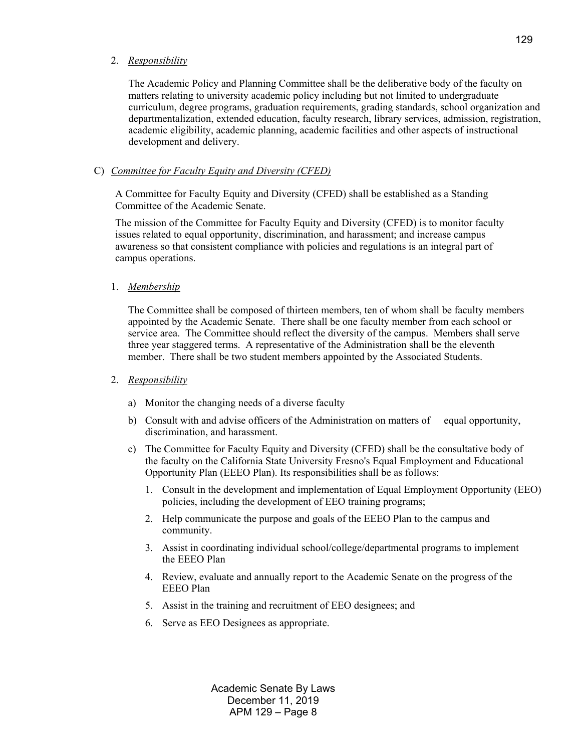### 2. *Responsibility*

The Academic Policy and Planning Committee shall be the deliberative body of the faculty on matters relating to university academic policy including but not limited to undergraduate curriculum, degree programs, graduation requirements, grading standards, school organization and departmentalization, extended education, faculty research, library services, admission, registration, academic eligibility, academic planning, academic facilities and other aspects of instructional development and delivery.

### C) *Committee for Faculty Equity and Diversity (CFED)*

A Committee for Faculty Equity and Diversity (CFED) shall be established as a Standing Committee of the Academic Senate.

The mission of the Committee for Faculty Equity and Diversity (CFED) is to monitor faculty issues related to equal opportunity, discrimination, and harassment; and increase campus awareness so that consistent compliance with policies and regulations is an integral part of campus operations.

1. *Membership*

The Committee shall be composed of thirteen members, ten of whom shall be faculty members appointed by the Academic Senate. There shall be one faculty member from each school or service area. The Committee should reflect the diversity of the campus. Members shall serve three year staggered terms. A representative of the Administration shall be the eleventh member. There shall be two student members appointed by the Associated Students.

- 2. *Responsibility*
	- a) Monitor the changing needs of a diverse faculty
	- b) Consult with and advise officers of the Administration on matters of equal opportunity, discrimination, and harassment.
	- c) The Committee for Faculty Equity and Diversity (CFED) shall be the consultative body of the faculty on the California State University Fresno's Equal Employment and Educational Opportunity Plan (EEEO Plan). Its responsibilities shall be as follows:
		- 1. Consult in the development and implementation of Equal Employment Opportunity (EEO) policies, including the development of EEO training programs;
		- 2. Help communicate the purpose and goals of the EEEO Plan to the campus and community.
		- 3. Assist in coordinating individual school/college/departmental programs to implement the EEEO Plan
		- 4. Review, evaluate and annually report to the Academic Senate on the progress of the EEEO Plan
		- 5. Assist in the training and recruitment of EEO designees; and
		- 6. Serve as EEO Designees as appropriate.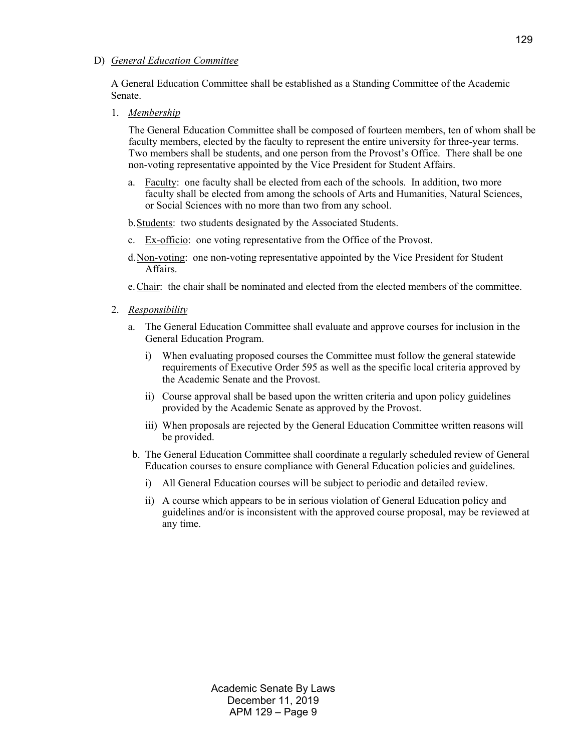### D) *General Education Committee*

A General Education Committee shall be established as a Standing Committee of the Academic Senate.

1. *Membership*

The General Education Committee shall be composed of fourteen members, ten of whom shall be faculty members, elected by the faculty to represent the entire university for three-year terms. Two members shall be students, and one person from the Provost's Office. There shall be one non-voting representative appointed by the Vice President for Student Affairs.

- Faculty: one faculty shall be elected from each of the schools. In addition, two more faculty shall be elected from among the schools of Arts and Humanities, Natural Sciences, or Social Sciences with no more than two from any school.
- b.Students: two students designated by the Associated Students.
- c. Ex-officio: one voting representative from the Office of the Provost.
- d.Non-voting: one non-voting representative appointed by the Vice President for Student Affairs.
- e.Chair: the chair shall be nominated and elected from the elected members of the committee.
- 2. *Responsibility*
	- a. The General Education Committee shall evaluate and approve courses for inclusion in the General Education Program.
		- i) When evaluating proposed courses the Committee must follow the general statewide requirements of Executive Order 595 as well as the specific local criteria approved by the Academic Senate and the Provost.
		- ii) Course approval shall be based upon the written criteria and upon policy guidelines provided by the Academic Senate as approved by the Provost.
		- iii) When proposals are rejected by the General Education Committee written reasons will be provided.
	- b. The General Education Committee shall coordinate a regularly scheduled review of General Education courses to ensure compliance with General Education policies and guidelines.
		- i) All General Education courses will be subject to periodic and detailed review.
		- ii) A course which appears to be in serious violation of General Education policy and guidelines and/or is inconsistent with the approved course proposal, may be reviewed at any time.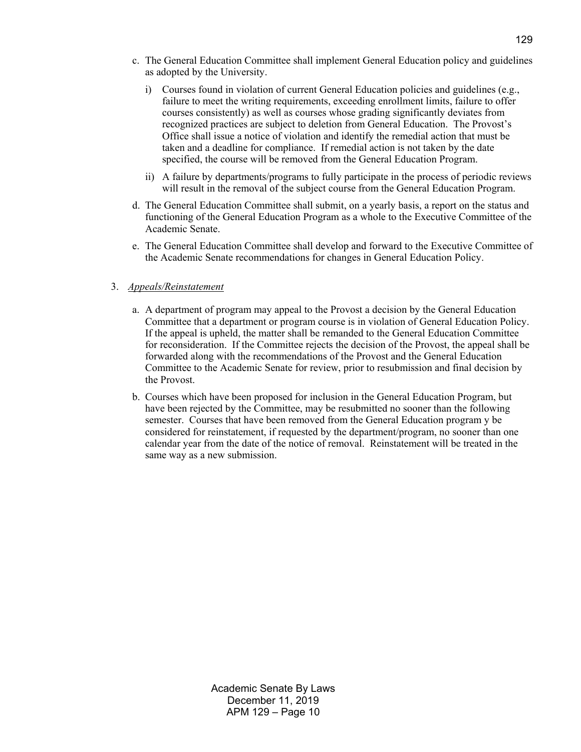- c. The General Education Committee shall implement General Education policy and guidelines as adopted by the University.
	- i) Courses found in violation of current General Education policies and guidelines (e.g., failure to meet the writing requirements, exceeding enrollment limits, failure to offer courses consistently) as well as courses whose grading significantly deviates from recognized practices are subject to deletion from General Education. The Provost's Office shall issue a notice of violation and identify the remedial action that must be taken and a deadline for compliance. If remedial action is not taken by the date specified, the course will be removed from the General Education Program.
	- ii) A failure by departments/programs to fully participate in the process of periodic reviews will result in the removal of the subject course from the General Education Program.
- d. The General Education Committee shall submit, on a yearly basis, a report on the status and functioning of the General Education Program as a whole to the Executive Committee of the Academic Senate.
- e. The General Education Committee shall develop and forward to the Executive Committee of the Academic Senate recommendations for changes in General Education Policy.

# 3. *Appeals/Reinstatement*

- a. A department of program may appeal to the Provost a decision by the General Education Committee that a department or program course is in violation of General Education Policy. If the appeal is upheld, the matter shall be remanded to the General Education Committee for reconsideration. If the Committee rejects the decision of the Provost, the appeal shall be forwarded along with the recommendations of the Provost and the General Education Committee to the Academic Senate for review, prior to resubmission and final decision by the Provost.
- b. Courses which have been proposed for inclusion in the General Education Program, but have been rejected by the Committee, may be resubmitted no sooner than the following semester. Courses that have been removed from the General Education program y be considered for reinstatement, if requested by the department/program, no sooner than one calendar year from the date of the notice of removal. Reinstatement will be treated in the same way as a new submission.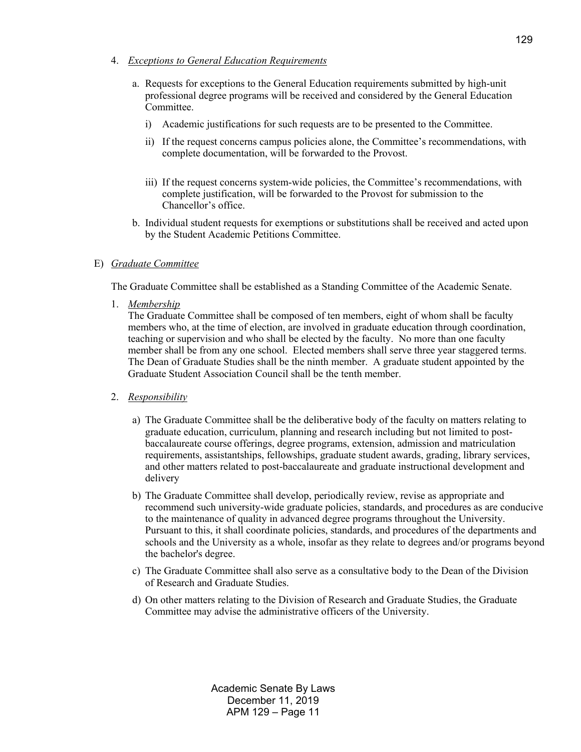### 4. *Exceptions to General Education Requirements*

- a. Requests for exceptions to the General Education requirements submitted by high-unit professional degree programs will be received and considered by the General Education Committee.
	- i) Academic justifications for such requests are to be presented to the Committee.
	- ii) If the request concerns campus policies alone, the Committee's recommendations, with complete documentation, will be forwarded to the Provost.
	- iii) If the request concerns system-wide policies, the Committee's recommendations, with complete justification, will be forwarded to the Provost for submission to the Chancellor's office.
- b. Individual student requests for exemptions or substitutions shall be received and acted upon by the Student Academic Petitions Committee.

### E) *Graduate Committee*

The Graduate Committee shall be established as a Standing Committee of the Academic Senate.

1. *Membership*

The Graduate Committee shall be composed of ten members, eight of whom shall be faculty members who, at the time of election, are involved in graduate education through coordination, teaching or supervision and who shall be elected by the faculty. No more than one faculty member shall be from any one school. Elected members shall serve three year staggered terms. The Dean of Graduate Studies shall be the ninth member. A graduate student appointed by the Graduate Student Association Council shall be the tenth member.

- 2. *Responsibility*
	- a) The Graduate Committee shall be the deliberative body of the faculty on matters relating to graduate education, curriculum, planning and research including but not limited to postbaccalaureate course offerings, degree programs, extension, admission and matriculation requirements, assistantships, fellowships, graduate student awards, grading, library services, and other matters related to post-baccalaureate and graduate instructional development and delivery
	- b) The Graduate Committee shall develop, periodically review, revise as appropriate and recommend such university-wide graduate policies, standards, and procedures as are conducive to the maintenance of quality in advanced degree programs throughout the University. Pursuant to this, it shall coordinate policies, standards, and procedures of the departments and schools and the University as a whole, insofar as they relate to degrees and/or programs beyond the bachelor's degree.
	- c) The Graduate Committee shall also serve as a consultative body to the Dean of the Division of Research and Graduate Studies.
	- d) On other matters relating to the Division of Research and Graduate Studies, the Graduate Committee may advise the administrative officers of the University.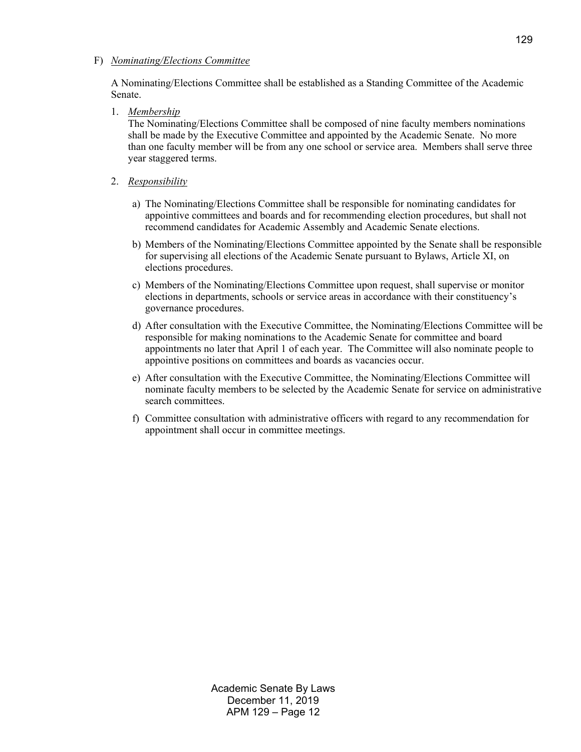### F) *Nominating/Elections Committee*

A Nominating/Elections Committee shall be established as a Standing Committee of the Academic Senate.

1. *Membership*

The Nominating/Elections Committee shall be composed of nine faculty members nominations shall be made by the Executive Committee and appointed by the Academic Senate. No more than one faculty member will be from any one school or service area. Members shall serve three year staggered terms.

- 2. *Responsibility*
	- a) The Nominating/Elections Committee shall be responsible for nominating candidates for appointive committees and boards and for recommending election procedures, but shall not recommend candidates for Academic Assembly and Academic Senate elections.
	- b) Members of the Nominating/Elections Committee appointed by the Senate shall be responsible for supervising all elections of the Academic Senate pursuant to Bylaws, Article XI, on elections procedures.
	- c) Members of the Nominating/Elections Committee upon request, shall supervise or monitor elections in departments, schools or service areas in accordance with their constituency's governance procedures.
	- d) After consultation with the Executive Committee, the Nominating/Elections Committee will be responsible for making nominations to the Academic Senate for committee and board appointments no later that April 1 of each year. The Committee will also nominate people to appointive positions on committees and boards as vacancies occur.
	- e) After consultation with the Executive Committee, the Nominating/Elections Committee will nominate faculty members to be selected by the Academic Senate for service on administrative search committees.
	- f) Committee consultation with administrative officers with regard to any recommendation for appointment shall occur in committee meetings.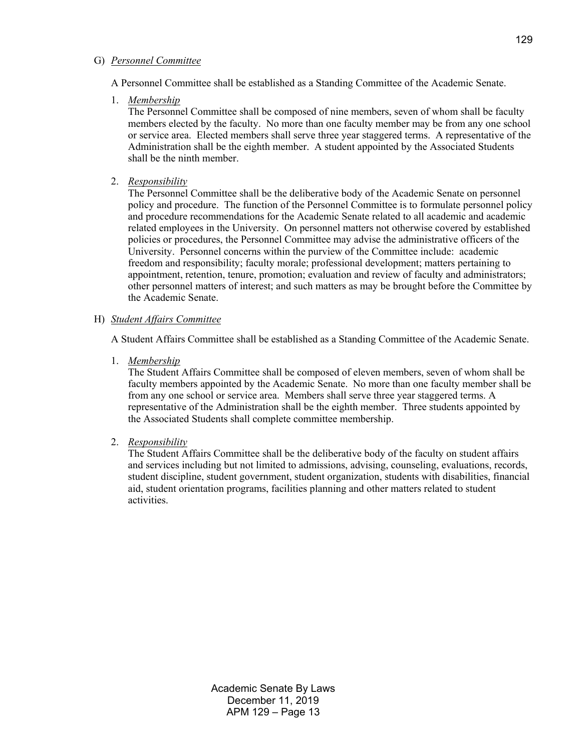# G) *Personnel Committee*

A Personnel Committee shall be established as a Standing Committee of the Academic Senate.

1. *Membership*

The Personnel Committee shall be composed of nine members, seven of whom shall be faculty members elected by the faculty. No more than one faculty member may be from any one school or service area. Elected members shall serve three year staggered terms. A representative of the Administration shall be the eighth member. A student appointed by the Associated Students shall be the ninth member.

2. *Responsibility*

The Personnel Committee shall be the deliberative body of the Academic Senate on personnel policy and procedure. The function of the Personnel Committee is to formulate personnel policy and procedure recommendations for the Academic Senate related to all academic and academic related employees in the University. On personnel matters not otherwise covered by established policies or procedures, the Personnel Committee may advise the administrative officers of the University. Personnel concerns within the purview of the Committee include: academic freedom and responsibility; faculty morale; professional development; matters pertaining to appointment, retention, tenure, promotion; evaluation and review of faculty and administrators; other personnel matters of interest; and such matters as may be brought before the Committee by the Academic Senate.

### H) *Student Affairs Committee*

A Student Affairs Committee shall be established as a Standing Committee of the Academic Senate.

1. *Membership*

The Student Affairs Committee shall be composed of eleven members, seven of whom shall be faculty members appointed by the Academic Senate. No more than one faculty member shall be from any one school or service area. Members shall serve three year staggered terms. A representative of the Administration shall be the eighth member. Three students appointed by the Associated Students shall complete committee membership.

2. *Responsibility*

The Student Affairs Committee shall be the deliberative body of the faculty on student affairs and services including but not limited to admissions, advising, counseling, evaluations, records, student discipline, student government, student organization, students with disabilities, financial aid, student orientation programs, facilities planning and other matters related to student activities.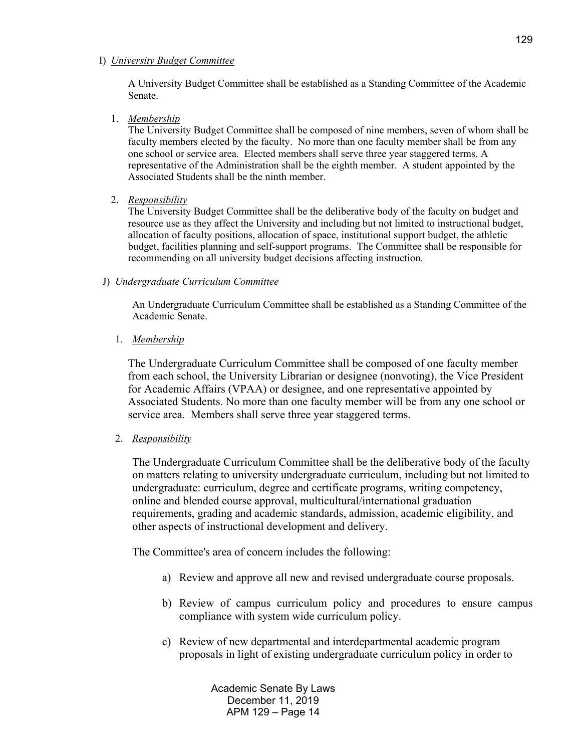### I) *University Budget Committee*

A University Budget Committee shall be established as a Standing Committee of the Academic Senate.

### 1. *Membership*

The University Budget Committee shall be composed of nine members, seven of whom shall be faculty members elected by the faculty. No more than one faculty member shall be from any one school or service area. Elected members shall serve three year staggered terms. A representative of the Administration shall be the eighth member. A student appointed by the Associated Students shall be the ninth member.

# 2. *Responsibility*

The University Budget Committee shall be the deliberative body of the faculty on budget and resource use as they affect the University and including but not limited to instructional budget, allocation of faculty positions, allocation of space, institutional support budget, the athletic budget, facilities planning and self-support programs. The Committee shall be responsible for recommending on all university budget decisions affecting instruction.

### J) *Undergraduate Curriculum Committee*

An Undergraduate Curriculum Committee shall be established as a Standing Committee of the Academic Senate.

# 1. *Membership*

The Undergraduate Curriculum Committee shall be composed of one faculty member from each school, the University Librarian or designee (nonvoting), the Vice President for Academic Affairs (VPAA) or designee, and one representative appointed by Associated Students. No more than one faculty member will be from any one school or service area. Members shall serve three year staggered terms.

# 2. *Responsibility*

The Undergraduate Curriculum Committee shall be the deliberative body of the faculty on matters relating to university undergraduate curriculum, including but not limited to undergraduate: curriculum, degree and certificate programs, writing competency, online and blended course approval, multicultural/international graduation requirements, grading and academic standards, admission, academic eligibility, and other aspects of instructional development and delivery.

The Committee's area of concern includes the following:

- a) Review and approve all new and revised undergraduate course proposals.
- b) Review of campus curriculum policy and procedures to ensure campus compliance with system wide curriculum policy.
- c) Review of new departmental and interdepartmental academic program proposals in light of existing undergraduate curriculum policy in order to